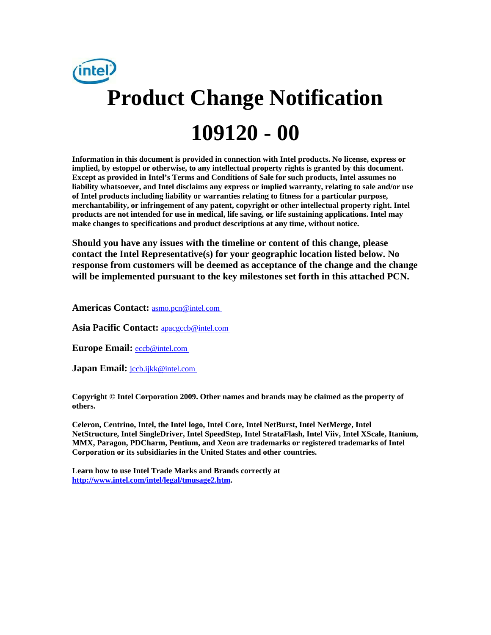

**Information in this document is provided in connection with Intel products. No license, express or implied, by estoppel or otherwise, to any intellectual property rights is granted by this document. Except as provided in Intel's Terms and Conditions of Sale for such products, Intel assumes no liability whatsoever, and Intel disclaims any express or implied warranty, relating to sale and/or use of Intel products including liability or warranties relating to fitness for a particular purpose, merchantability, or infringement of any patent, copyright or other intellectual property right. Intel products are not intended for use in medical, life saving, or life sustaining applications. Intel may make changes to specifications and product descriptions at any time, without notice.** 

**Should you have any issues with the timeline or content of this change, please contact the Intel Representative(s) for your geographic location listed below. No response from customers will be deemed as acceptance of the change and the change will be implemented pursuant to the key milestones set forth in this attached PCN.** 

**Americas Contact:** [asmo.pcn@intel.com](mailto:asmo.pcn@intel.com) 

**Asia Pacific Contact:** [apacgccb@intel.com](mailto:apacgccb@intel.com) 

Europe Email: **eccb@intel.com** 

**Japan Email:** *jccb.ijkk@intel.com* 

**Copyright © Intel Corporation 2009. Other names and brands may be claimed as the property of others.**

**Celeron, Centrino, Intel, the Intel logo, Intel Core, Intel NetBurst, Intel NetMerge, Intel NetStructure, Intel SingleDriver, Intel SpeedStep, Intel StrataFlash, Intel Viiv, Intel XScale, Itanium, MMX, Paragon, PDCharm, Pentium, and Xeon are trademarks or registered trademarks of Intel Corporation or its subsidiaries in the United States and other countries.** 

**Learn how to use Intel Trade Marks and Brands correctly at [http://www.intel.com/intel/legal/tmusage2.htm.](http://www.intel.com/intel/legal/tmusage2.htm)**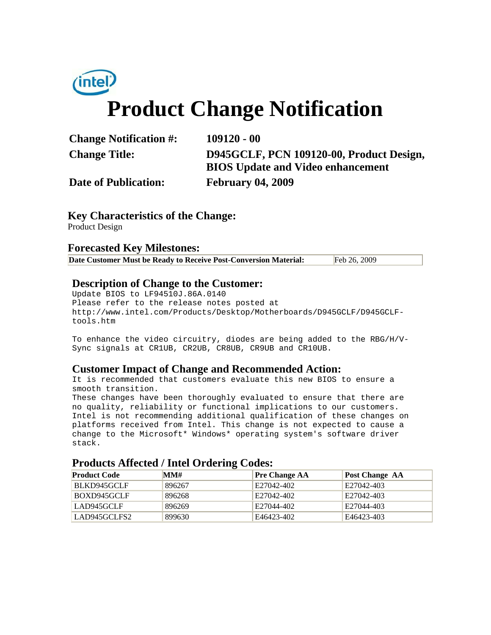

|  | <b>Change Notification #:</b> |  |
|--|-------------------------------|--|
|--|-------------------------------|--|

**Change Notification #: 109120 - 00 Change Title: D945GCLF, PCN 109120-00, Product Design, BIOS Update and Video enhancement**

**Date of Publication: February 04, 2009**

## **Key Characteristics of the Change:**

Product Design

## **Forecasted Key Milestones:**

| Date Customer Must be Ready to Receive Post-Conversion Material: | Feb 26, 2009 |
|------------------------------------------------------------------|--------------|
|------------------------------------------------------------------|--------------|

## **Description of Change to the Customer:**

Update BIOS to LF94510J.86A.0140 Please refer to the release notes posted at http://www.intel.com/Products/Desktop/Motherboards/D945GCLF/D945GCLFtools.htm

To enhance the video circuitry, diodes are being added to the RBG/H/V-Sync signals at CR1UB, CR2UB, CR8UB, CR9UB and CR10UB.

### **Customer Impact of Change and Recommended Action:**

It is recommended that customers evaluate this new BIOS to ensure a smooth transition.

These changes have been thoroughly evaluated to ensure that there are no quality, reliability or functional implications to our customers. Intel is not recommending additional qualification of these changes on platforms received from Intel. This change is not expected to cause a change to the Microsoft\* Windows\* operating system's software driver stack.

#### **Products Affected / Intel Ordering Codes:**

| <b>Product Code</b> | MM#    | <b>Pre Change AA</b> | <b>Post Change AA</b> |
|---------------------|--------|----------------------|-----------------------|
| BLKD945GCLF         | 896267 | E27042-402           | E27042-403            |
| BOXD945GCLF         | 896268 | E27042-402           | E27042-403            |
| LAD945GCLF          | 896269 | E27044-402           | E27044-403            |
| LAD945GCLFS2        | 899630 | E46423-402           | E46423-403            |